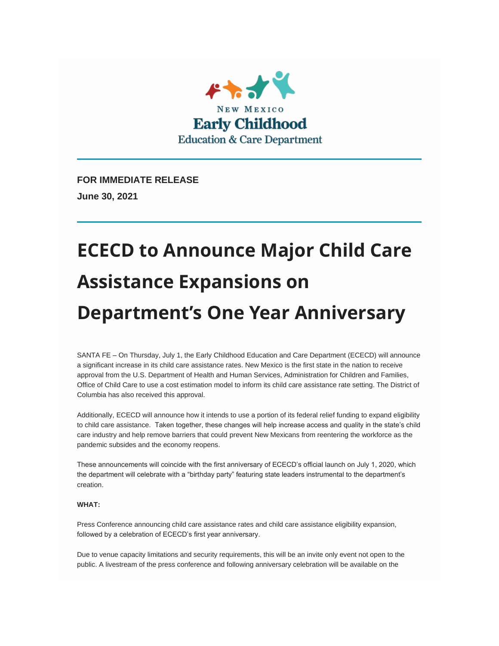

**FOR IMMEDIATE RELEASE June 30, 2021**

# **ECECD to Announce Major Child Care Assistance Expansions on Department's One Year Anniversary**

SANTA FE – On Thursday, July 1, the Early Childhood Education and Care Department (ECECD) will announce a significant increase in its child care assistance rates. New Mexico is the first state in the nation to receive approval from the U.S. Department of Health and Human Services, Administration for Children and Families, Office of Child Care to use a cost estimation model to inform its child care assistance rate setting. The District of Columbia has also received this approval.

Additionally, ECECD will announce how it intends to use a portion of its federal relief funding to expand eligibility to child care assistance. Taken together, these changes will help increase access and quality in the state's child care industry and help remove barriers that could prevent New Mexicans from reentering the workforce as the pandemic subsides and the economy reopens.

These announcements will coincide with the first anniversary of ECECD's official launch on July 1, 2020, which the department will celebrate with a "birthday party" featuring state leaders instrumental to the department's creation.

#### **WHAT:**

Press Conference announcing child care assistance rates and child care assistance eligibility expansion, followed by a celebration of ECECD's first year anniversary.

Due to venue capacity limitations and security requirements, this will be an invite only event not open to the public. A livestream of the press conference and following anniversary celebration will be available on the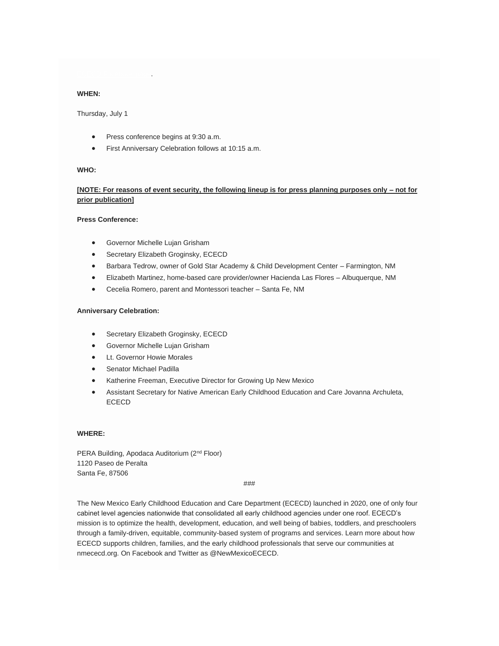#### [ECECD Facebook page.](https://nmececd.us1.list-manage.com/track/click?u=467442942accf6a965e98bbf5&id=a9e2f2ed42&e=924e2d8785)

#### **WHEN:**

Thursday, July 1

- Press conference begins at 9:30 a.m.
- First Anniversary Celebration follows at 10:15 a.m.

#### **WHO:**

#### **[NOTE: For reasons of event security, the following lineup is for press planning purposes only – not for prior publication]**

#### **Press Conference:**

- Governor Michelle Lujan Grisham
- Secretary Elizabeth Groginsky, ECECD
- Barbara Tedrow, owner of Gold Star Academy & Child Development Center Farmington, NM
- Elizabeth Martinez, home-based care provider/owner Hacienda Las Flores Albuquerque, NM
- Cecelia Romero, parent and Montessori teacher Santa Fe, NM

#### **Anniversary Celebration:**

- Secretary Elizabeth Groginsky, ECECD
- Governor Michelle Lujan Grisham
- Lt. Governor Howie Morales
- Senator Michael Padilla
- Katherine Freeman, Executive Director for Growing Up New Mexico
- Assistant Secretary for Native American Early Childhood Education and Care Jovanna Archuleta, ECECD

#### **WHERE:**

PERA Building, Apodaca Auditorium (2<sup>nd</sup> Floor) 1120 Paseo de Peralta Santa Fe, 87506

###

The New Mexico Early Childhood Education and Care Department (ECECD) launched in 2020, one of only four cabinet level agencies nationwide that consolidated all early childhood agencies under one roof. ECECD's mission is to optimize the health, development, education, and well being of babies, toddlers, and preschoolers through a family-driven, equitable, community-based system of programs and services. Learn more about how ECECD supports children, families, and the early childhood professionals that serve our communities at nmececd.org. On Facebook and Twitter as @NewMexicoECECD.